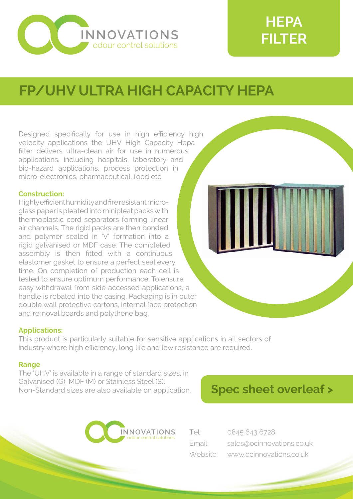

# **HEPA FILTER**

## **FP/UHV ULTRA HIGH CAPACITY HEPA**

Designed specifically for use in high efficiency high velocity applications the UHV High Capacity Hepa filter delivers ultra-clean air for use in numerous applications, including hospitals, laboratory and bio-hazard applications, process protection in micro-electronics, pharmaceutical, food etc.

#### **Construction:**

Highly efficient humidity and fire resistant microglass paper is pleated into minipleat packs with thermoplastic cord separators forming linear air channels. The rigid packs are then bonded and polymer sealed in 'V' formation into a rigid galvanised or MDF case. The completed assembly is then fitted with a continuous elastomer gasket to ensure a perfect seal every time. On completion of production each cell is tested to ensure optimum performance. To ensure easy withdrawal from side accessed applications, a handle is rebated into the casing. Packaging is in outer double wall protective cartons, internal face protection and removal boards and polythene bag.

### **Applications:**

This product is particularly suitable for sensitive applications in all sectors of industry where high efficiency, long life and low resistance are required.

#### **Range**

The 'UHV' is available in a range of standard sizes, in Galvanised (G), MDF (M) or Stainless Steel (S). Non-Standard sizes are also available on application.





| Tel:   | 0845 643 6728                    |  |  |  |  |
|--------|----------------------------------|--|--|--|--|
| Email: | sales@ocinnovations.co.uk        |  |  |  |  |
|        | Website: www.ocinnovations.co.uk |  |  |  |  |